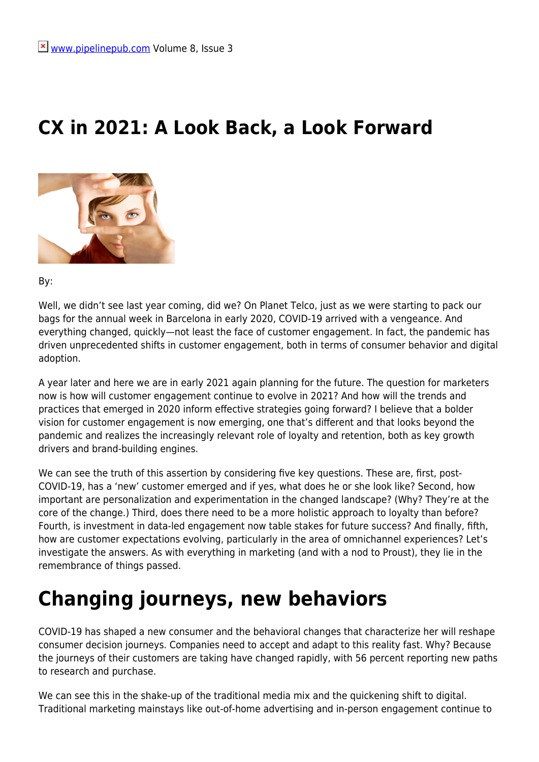#### **CX in 2021: A Look Back, a Look Forward**



By:

Well, we didn't see last year coming, did we? On Planet Telco, just as we were starting to pack our bags for the annual week in Barcelona in early 2020, COVID-19 arrived with a vengeance. And everything changed, quickly—not least the face of customer engagement. In fact, the pandemic has driven unprecedented shifts in customer engagement, both in terms of consumer behavior and digital adoption.

A year later and here we are in early 2021 again planning for the future. The question for marketers now is how will customer engagement continue to evolve in 2021? And how will the trends and practices that emerged in 2020 inform effective strategies going forward? I believe that a bolder vision for customer engagement is now emerging, one that's different and that looks beyond the pandemic and realizes the increasingly relevant role of loyalty and retention, both as key growth drivers and brand-building engines.

We can see the truth of this assertion by considering five key questions. These are, first, post-COVID-19, has a 'new' customer emerged and if yes, what does he or she look like? Second, how important are personalization and experimentation in the changed landscape? (Why? They're at the core of the change.) Third, does there need to be a more holistic approach to loyalty than before? Fourth, is investment in data-led engagement now table stakes for future success? And finally, fifth, how are customer expectations evolving, particularly in the area of omnichannel experiences? Let's investigate the answers. As with everything in marketing (and with a nod to Proust), they lie in the remembrance of things passed.

# **Changing journeys, new behaviors**

COVID-19 has shaped a new consumer and the behavioral changes that characterize her will reshape consumer decision journeys. Companies need to accept and adapt to this reality fast. Why? Because the journeys of their customers are taking have changed rapidly, with 56 percent reporting new paths to research and purchase.

We can see this in the shake-up of the traditional media mix and the quickening shift to digital. Traditional marketing mainstays like out-of-home advertising and in-person engagement continue to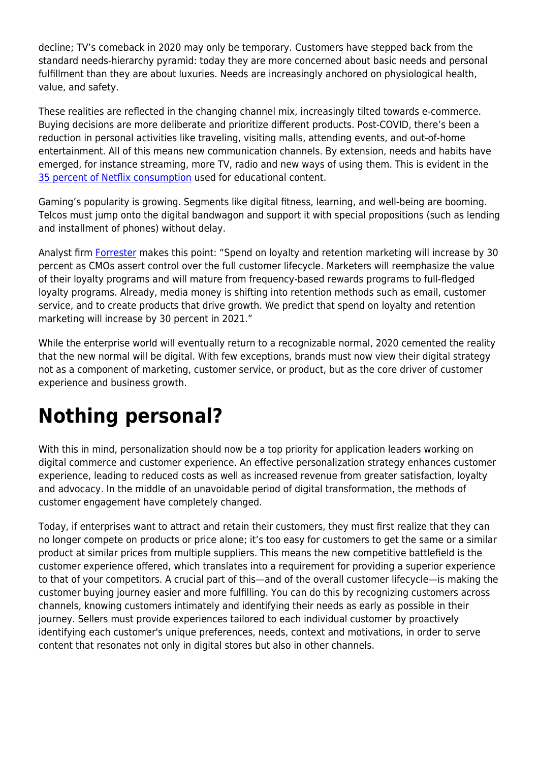decline; TV's comeback in 2020 may only be temporary. Customers have stepped back from the standard needs-hierarchy pyramid: today they are more concerned about basic needs and personal fulfillment than they are about luxuries. Needs are increasingly anchored on physiological health, value, and safety.

These realities are reflected in the changing channel mix, increasingly tilted towards e-commerce. Buying decisions are more deliberate and prioritize different products. Post-COVID, there's been a reduction in personal activities like traveling, visiting malls, attending events, and out-of-home entertainment. All of this means new communication channels. By extension, needs and habits have emerged, for instance streaming, more TV, radio and new ways of using them. This is evident in the [35 percent of Netflix consumption](https://www.mckinsey.com/~/media/McKinsey/Industries/Retail/Our%20Insights/How%20COVID%2019%20is%20changing%20consumer%20behavior%20now%20and%20forever/How-COVID-19-is-changing-consumer-behaviornow-and-forever.pdf) used for educational content.

Gaming's popularity is growing. Segments like digital fitness, learning, and well-being are booming. Telcos must jump onto the digital bandwagon and support it with special propositions (such as lending and installment of phones) without delay.

Analyst firm [Forrester](https://go.forrester.com/press-newsroom/forrester-predictions-2021-digitally-advanced-firms-will-have-a-sustained-advantage-over-their-competitors/) makes this point: "Spend on loyalty and retention marketing will increase by 30 percent as CMOs assert control over the full customer lifecycle. Marketers will reemphasize the value of their loyalty programs and will mature from frequency-based rewards programs to full-fledged loyalty programs. Already, media money is shifting into retention methods such as email, customer service, and to create products that drive growth. We predict that spend on loyalty and retention marketing will increase by 30 percent in 2021."

While the enterprise world will eventually return to a recognizable normal, 2020 cemented the reality that the new normal will be digital. With few exceptions, brands must now view their digital strategy not as a component of marketing, customer service, or product, but as the core driver of customer experience and business growth.

# **Nothing personal?**

With this in mind, personalization should now be a top priority for application leaders working on digital commerce and customer experience. An effective personalization strategy enhances customer experience, leading to reduced costs as well as increased revenue from greater satisfaction, loyalty and advocacy. In the middle of an unavoidable period of digital transformation, the methods of customer engagement have completely changed.

Today, if enterprises want to attract and retain their customers, they must first realize that they can no longer compete on products or price alone; it's too easy for customers to get the same or a similar product at similar prices from multiple suppliers. This means the new competitive battlefield is the customer experience offered, which translates into a requirement for providing a superior experience to that of your competitors. A crucial part of this—and of the overall customer lifecycle—is making the customer buying journey easier and more fulfilling. You can do this by recognizing customers across channels, knowing customers intimately and identifying their needs as early as possible in their journey. Sellers must provide experiences tailored to each individual customer by proactively identifying each customer's unique preferences, needs, context and motivations, in order to serve content that resonates not only in digital stores but also in other channels.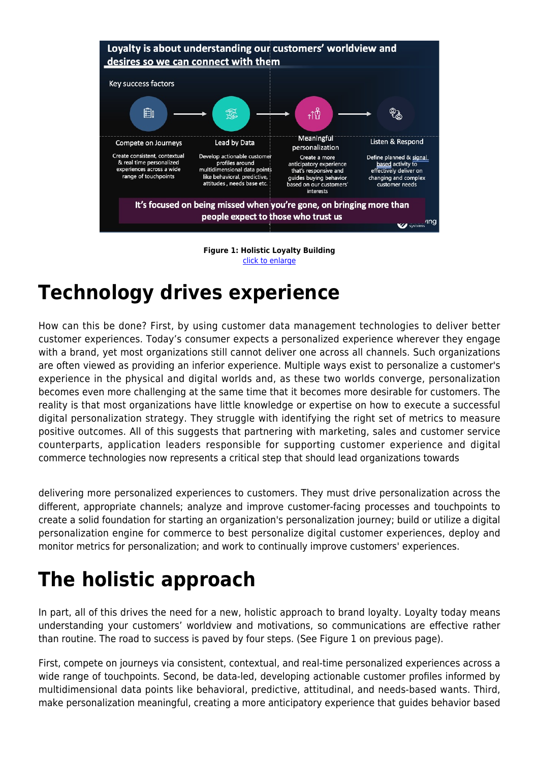



### **Technology drives experience**

How can this be done? First, by using customer data management technologies to deliver better customer experiences. Today's consumer expects a personalized experience wherever they engage with a brand, yet most organizations still cannot deliver one across all channels. Such organizations are often viewed as providing an inferior experience. Multiple ways exist to personalize a customer's experience in the physical and digital worlds and, as these two worlds converge, personalization becomes even more challenging at the same time that it becomes more desirable for customers. The reality is that most organizations have little knowledge or expertise on how to execute a successful digital personalization strategy. They struggle with identifying the right set of metrics to measure positive outcomes. All of this suggests that partnering with marketing, sales and customer service counterparts, application leaders responsible for supporting customer experience and digital commerce technologies now represents a critical step that should lead organizations towards

delivering more personalized experiences to customers. They must drive personalization across the different, appropriate channels; analyze and improve customer-facing processes and touchpoints to create a solid foundation for starting an organization's personalization journey; build or utilize a digital personalization engine for commerce to best personalize digital customer experiences, deploy and monitor metrics for personalization; and work to continually improve customers' experiences.

## **The holistic approach**

In part, all of this drives the need for a new, holistic approach to brand loyalty. Loyalty today means understanding your customers' worldview and motivations, so communications are effective rather than routine. The road to success is paved by four steps. (See Figure 1 on previous page).

First, compete on journeys via consistent, contextual, and real-time personalized experiences across a wide range of touchpoints. Second, be data-led, developing actionable customer profiles informed by multidimensional data points like behavioral, predictive, attitudinal, and needs-based wants. Third, make personalization meaningful, creating a more anticipatory experience that guides behavior based